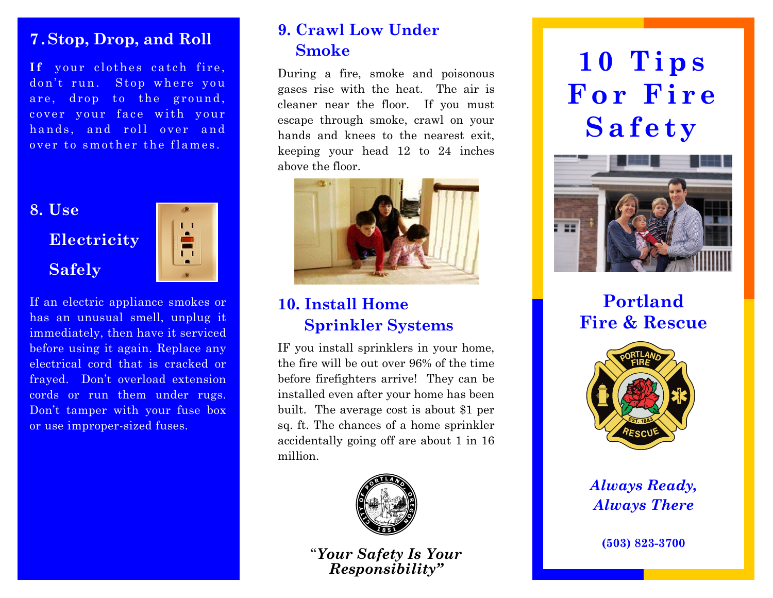#### **7 . Stop, Drop, and Roll**

**If** your clothes catch fire, don't run. Stop where you are, drop to the ground, cover your face with your hands, and roll over and over to smother the flames.



If an electric appliance smokes or has an unusual smell, unplug it immediately, then have it serviced before using it again. Replace any electrical cord that is cracked or frayed. Don't overload extension cords or run them under rugs. Don't tamper with your fuse box or use improper-sized fuses.

## **9. Crawl Low Under Smoke**

During a fire, smoke and poisonous gases rise with the heat. The air is cleaner near the floor. If you must escape through smoke, crawl on your hands and knees to the nearest exit, keeping your head 12 to 24 inches above the floor.



## **10. Install Home Sprinkler Systems**

IF you install sprinklers in your home, the fire will be out over 96% of the time before firefighters arrive! They can be installed even after your home has been built. The average cost is about \$1 per sq. ft. The chances of a home sprinkler accidentally going off are about 1 in 16 million.



"*Your Safety Is Your Responsibility"*

# **10 Tips For Fire Safety**



**Portland Fire & Rescue** 



*Always Ready, Always There* 

**(503) 823-3700**